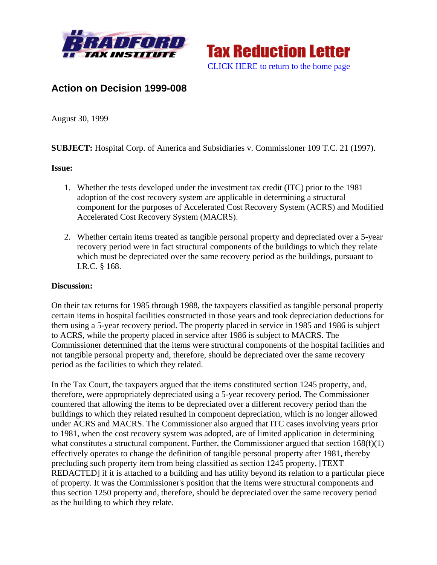



## **Action on Decision 1999-008**

August 30, 1999

**SUBJECT:** Hospital Corp. of America and Subsidiaries v. Commissioner 109 T.C. 21 (1997).

## **Issue:**

- 1. Whether the tests developed under the investment tax credit (ITC) prior to the 1981 adoption of the cost recovery system are applicable in determining a structural component for the purposes of Accelerated Cost Recovery System (ACRS) and Modified Accelerated Cost Recovery System (MACRS).
- 2. Whether certain items treated as tangible personal property and depreciated over a 5-year recovery period were in fact structural components of the buildings to which they relate which must be depreciated over the same recovery period as the buildings, pursuant to I.R.C. § 168.

## **Discussion:**

On their tax returns for 1985 through 1988, the taxpayers classified as tangible personal property certain items in hospital facilities constructed in those years and took depreciation deductions for them using a 5-year recovery period. The property placed in service in 1985 and 1986 is subject to ACRS, while the property placed in service after 1986 is subject to MACRS. The Commissioner determined that the items were structural components of the hospital facilities and not tangible personal property and, therefore, should be depreciated over the same recovery period as the facilities to which they related.

In the Tax Court, the taxpayers argued that the items constituted section 1245 property, and, therefore, were appropriately depreciated using a 5-year recovery period. The Commissioner countered that allowing the items to be depreciated over a different recovery period than the buildings to which they related resulted in component depreciation, which is no longer allowed under ACRS and MACRS. The Commissioner also argued that ITC cases involving years prior to 1981, when the cost recovery system was adopted, are of limited application in determining what constitutes a structural component. Further, the Commissioner argued that section 168(f)(1) effectively operates to change the definition of tangible personal property after 1981, thereby precluding such property item from being classified as section 1245 property, [TEXT REDACTED] if it is attached to a building and has utility beyond its relation to a particular piece of property. It was the Commissioner's position that the items were structural components and thus section 1250 property and, therefore, should be depreciated over the same recovery period as the building to which they relate.